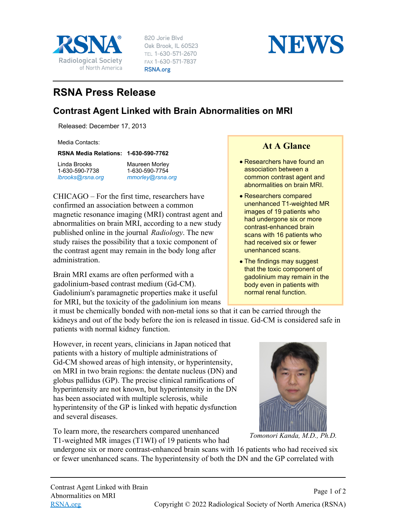

820 Jorie Blvd Oak Brook, IL 60523 TEL 1-630-571-2670 FAX 1-630-571-7837 RSNA.org



## **RSNA Press Release**

## **Contrast Agent Linked with Brain Abnormalities on MRI**

Released: December 17, 2013

Media Contacts:

**RSNA Media Relations: 1-630-590-7762**

Linda Brooks 1-630-590-7738 *[lbrooks@rsna.org](mailto:lbrooks@rsna.org)* Maureen Morley 1-630-590-7754 *[mmorley@rsna.org](mailto:mmorley@rsna.org)*

CHICAGO – For the first time, researchers have confirmed an association between a common magnetic resonance imaging (MRI) contrast agent and abnormalities on brain MRI, according to a new study published online in the journal *Radiology*. The new study raises the possibility that a toxic component of the contrast agent may remain in the body long after administration.

Brain MRI exams are often performed with a gadolinium-based contrast medium (Gd-CM). Gadolinium's paramagnetic properties make it useful for MRI, but the toxicity of the gadolinium ion means

## **At A Glance**

- Researchers have found an association between a common contrast agent and abnormalities on brain MRI.
- Researchers compared unenhanced T1-weighted MR images of 19 patients who had undergone six or more contrast-enhanced brain scans with 16 patients who had received six or fewer unenhanced scans.
- The findings may suggest that the toxic component of gadolinium may remain in the body even in patients with normal renal function.

it must be chemically bonded with non-metal ions so that it can be carried through the kidneys and out of the body before the ion is released in tissue. Gd-CM is considered safe in patients with normal kidney function.

However, in recent years, clinicians in Japan noticed that patients with a history of multiple administrations of Gd-CM showed areas of high intensity, or hyperintensity, on MRI in two brain regions: the dentate nucleus (DN) and globus pallidus (GP). The precise clinical ramifications of hyperintensity are not known, but hyperintensity in the DN has been associated with multiple sclerosis, while hyperintensity of the GP is linked with hepatic dysfunction and several diseases.

To learn more, the researchers compared unenhanced T1-weighted MR images (T1WI) of 19 patients who had



*Tomonori Kanda, M.D., Ph.D.*

undergone six or more contrast-enhanced brain scans with 16 patients who had received six or fewer unenhanced scans. The hyperintensity of both the DN and the GP correlated with